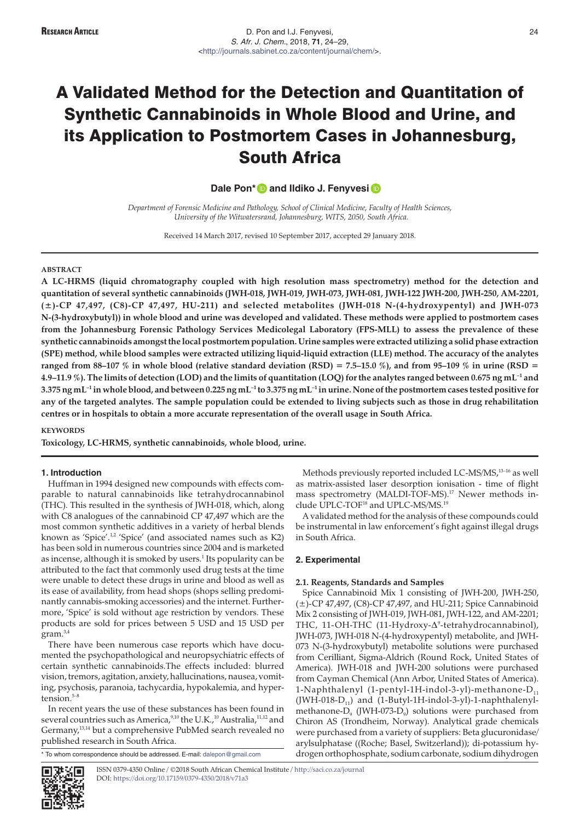# A Validated Method for the Detection and Quantitation of Synthetic Cannabinoids in Whole Blood and Urine, and its Application to Postmortem Cases in Johannesburg, South Africa

**DalePon\* D** and Ildiko J. Fenyvesi **D** 

*Department of Forensic Medicine and Pathology, School of Clinical Medicine, Faculty of Health Sciences, University of the Witwatersrand, Johannesburg, WITS, 2050, South Africa.*

Received 14 March 2017, revised 10 September 2017, accepted 29 January 2018.

#### **ABSTRACT**

**A LC-HRMS (liquid chromatography coupled with high resolution mass spectrometry) method for the detection and quantitation of several synthetic cannabinoids (JWH-018, JWH-019, JWH-073, JWH-081, JWH-122 JWH-200, JWH-250, AM-2201, (±)-CP 47,497, (C8)-CP 47,497, HU-211) and selected metabolites (JWH-018 N-(4-hydroxypentyl) and JWH-073 N-(3-hydroxybutyl)) in whole blood and urine was developed and validated. These methods were applied to postmortem cases from the Johannesburg Forensic Pathology Services Medicolegal Laboratory (FPS-MLL) to assess the prevalence of these synthetic cannabinoids amongst the local postmortem population. Urine samples were extracted utilizing a solid phase extraction (SPE) method, while blood samples were extracted utilizing liquid-liquid extraction (LLE) method. The accuracy of the analytes ranged from 88–107 % in whole blood (relative standard deviation (RSD) = 7.5–15.0 %), and from 95–109 % in urine (RSD = 4.9–11.9 %). The limits of detection (LOD) and the limits of quantitation (LOQ) for the analytes ranged between 0.675 ng mL–1 and 3.375 ng mL–1 in whole blood, and between 0.225 ng mL–1 to 3.375 ng mL–1 in urine. None of the postmortem cases tested positive for any of the targeted analytes. The sample population could be extended to living subjects such as those in drug rehabilitation centres or in hospitals to obtain a more accurate representation of the overall usage in South Africa.**

# **KEYWORDS**

**Toxicology, LC-HRMS, synthetic cannabinoids, whole blood, urine.**

## **1. Introduction**

Huffman in 1994 designed new compounds with effects comparable to natural cannabinoids like tetrahydrocannabinol (THC). This resulted in the synthesis of JWH-018, which, along with C8 analogues of the cannabinoid CP 47,497 which are the most common synthetic additives in a variety of herbal blends known as 'Spice'.<sup>1,2</sup> 'Spice' (and associated names such as K2) has been sold in numerous countries since 2004 and is marketed as incense, although it is smoked by users.<sup>1</sup> Its popularity can be attributed to the fact that commonly used drug tests at the time were unable to detect these drugs in urine and blood as well as its ease of availability, from head shops (shops selling predominantly cannabis-smoking accessories) and the internet. Furthermore, 'Spice' is sold without age restriction by vendors. These products are sold for prices between 5 USD and 15 USD per gram.3,4

There have been numerous case reports which have documented the psychopathological and neuropsychiatric effects of certain synthetic cannabinoids.The effects included: blurred vision, tremors, agitation, anxiety, hallucinations, nausea, vomiting, psychosis, paranoia, tachycardia, hypokalemia, and hypertension.<sup>5-8</sup>

In recent years the use of these substances has been found in several countries such as America,<sup>9,10</sup> the U.K.,<sup>10</sup> Australia,<sup>11,12</sup> and Germany,<sup>13,14</sup> but a comprehensive PubMed search revealed no published research in South Africa.

To whom correspondence should be addressed. E-mail: [dalepon@gmail.com](mailto:dalepon@gmail.com)

Methods previously reported included LC-MS/MS,<sup>13-16</sup> as well as matrix-assisted laser desorption ionisation - time of flight mass spectrometry (MALDI-TOF-MS).<sup>17</sup> Newer methods include UPLC-TOF<sup>18</sup> and UPLC-MS/MS.<sup>19</sup>

A validated method for the analysis of these compounds could be instrumental in law enforcement's fight against illegal drugs in South Africa.

## **2. Experimental**

## **2.1. Reagents, Standards and Samples**

Spice Cannabinoid Mix 1 consisting of JWH-200, JWH-250, (±)-CP 47,497, (C8)-CP 47,497, and HU-211; Spice Cannabinoid Mix 2 consisting of JWH-019, JWH-081, JWH-122, and AM-2201; THC, 11-OH-THC (11-Hydroxy- $\Delta^9$ -tetrahydrocannabinol), JWH-073, JWH-018 N-(4-hydroxypentyl) metabolite, and JWH-073 N-(3-hydroxybutyl) metabolite solutions were purchased from Cerilliant, Sigma-Aldrich (Round Rock, United States of America). JWH-018 and JWH-200 solutions were purchased from Cayman Chemical (Ann Arbor, United States of America). 1-Naphthalenyl (1-pentyl-1H-indol-3-yl)-methanone-D<sub>11</sub>  $(JWH-018-D_{11})$  and  $(1-Butyl-1H-indol-3-yl)-1-naphthalenyl$ methanone- $D_{0}$  (JWH-073- $D_{0}$ ) solutions were purchased from Chiron AS (Trondheim, Norway). Analytical grade chemicals were purchased from a variety of suppliers: Beta glucuronidase/ arylsulphatase ((Roche; Basel, Switzerland)); di-potassium hydrogen orthophosphate, sodium carbonate, sodium dihydrogen



ISSN 0379-4350 Online / ©2018 South African Chemical Institute / <http://saci.co.za/journal> DOI: <https://doi.org/10.17159/0379-4350/2018/v71a3>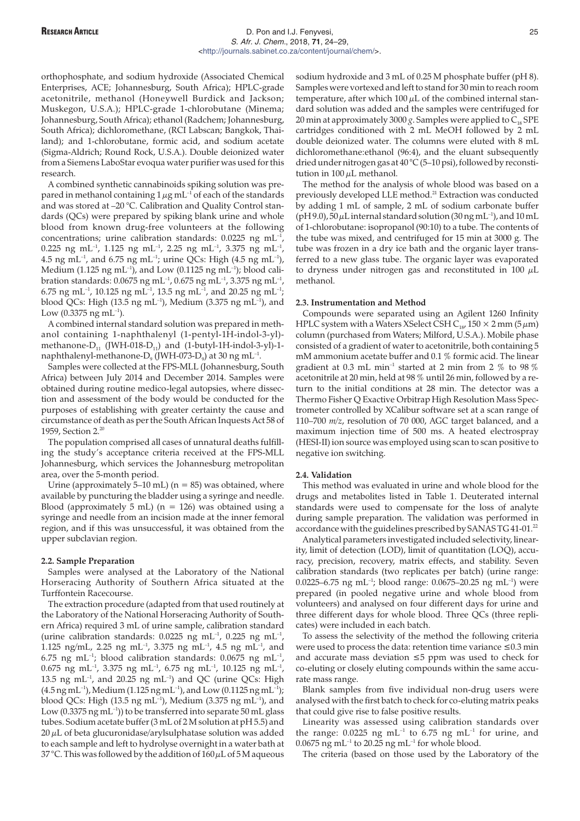# RESEARCH ARTICLE **ARTICLE D. Pon and I.J. Fenyvesi**, **D. Pon and I.J. Fenyvesi**, **25** S. Afr. J. Chem., 2018, **71**, 24–29, [<http://journals.sabinet.co.za/content/journal/chem/](http://journals.sabinet.co.za/content/journal/chem/)>.

orthophosphate, and sodium hydroxide (Associated Chemical Enterprises, ACE; Johannesburg, South Africa); HPLC-grade acetonitrile, methanol (Honeywell Burdick and Jackson; Muskegon, U.S.A.); HPLC-grade 1-chlorobutane (Minema; Johannesburg, South Africa); ethanol (Radchem; Johannesburg, South Africa); dichloromethane, (RCI Labscan; Bangkok, Thailand); and 1-chlorobutane, formic acid, and sodium acetate (Sigma-Aldrich; Round Rock, U.S.A.). Double deionized water from a Siemens LaboStar evoqua water purifier was used for this research.

A combined synthetic cannabinoids spiking solution was prepared in methanol containing  $1 \mu g$  mL<sup>-1</sup> of each of the standards and was stored at –20 °C. Calibration and Quality Control standards (QCs) were prepared by spiking blank urine and whole blood from known drug-free volunteers at the following concentrations; urine calibration standards:  $0.0225$  ng mL<sup>-1</sup>, 0.225 ng mL<sup>-1</sup>, 1.125 ng mL<sup>-1</sup>, 2.25 ng mL<sup>-1</sup>, 3.375 ng mL<sup>-1</sup>, 4.5 ng mL<sup>-1</sup>, and 6.75 ng mL<sup>-1</sup>; urine QCs: High (4.5 ng mL<sup>-1</sup>), Medium (1.125 ng mL<sup>-1</sup>), and Low (0.1125 ng mL<sup>-1</sup>); blood calibration standards: 0.0675 ng mL–1, 0.675 ng mL–1, 3.375 ng mL–1, 6.75 ng mL<sup>-1</sup>, 10.125 ng mL<sup>-1</sup>, 13.5 ng mL<sup>-1</sup>, and 20.25 ng mL<sup>-1</sup>; blood QCs: High (13.5 ng mL<sup>-1</sup>), Medium (3.375 ng mL<sup>-1</sup>), and Low  $(0.3375 \text{ ng } \text{mL}^{-1})$ .

A combined internal standard solution was prepared in methanol containing 1-naphthalenyl (1-pentyl-1H-indol-3-yl) methanone- $D_{11}$  (JWH-018- $D_{11}$ ) and (1-butyl-1H-indol-3-yl)-1naphthalenyl-methanone-D<sub>9</sub> (JWH-073-D<sub>9</sub>) at 30 ng mL<sup>-1</sup>.

Samples were collected at the FPS-MLL (Johannesburg, South Africa) between July 2014 and December 2014. Samples were obtained during routine medico-legal autopsies, where dissection and assessment of the body would be conducted for the purposes of establishing with greater certainty the cause and circumstance of death as per the South African Inquests Act 58 of 1959, Section 2.20

The population comprised all cases of unnatural deaths fulfilling the study's acceptance criteria received at the FPS-MLL Johannesburg, which services the Johannesburg metropolitan area, over the 5-month period.

Urine (approximately 5–10 mL) ( $n = 85$ ) was obtained, where available by puncturing the bladder using a syringe and needle. Blood (approximately 5 mL) ( $n = 126$ ) was obtained using a syringe and needle from an incision made at the inner femoral region, and if this was unsuccessful, it was obtained from the upper subclavian region.

#### **2.2. Sample Preparation**

Samples were analysed at the Laboratory of the National Horseracing Authority of Southern Africa situated at the Turffontein Racecourse.

The extraction procedure (adapted from that used routinely at the Laboratory of the National Horseracing Authority of Southern Africa) required 3 mL of urine sample, calibration standard (urine calibration standards:  $0.0225$  ng mL<sup>-1</sup>,  $0.225$  ng mL<sup>-1</sup>, 1.125 ng/mL, 2.25 ng mL<sup>-1</sup>, 3.375 ng mL<sup>-1</sup>, 4.5 ng mL<sup>-1</sup>, and 6.75 ng mL<sup>-1</sup>; blood calibration standards: 0.0675 ng mL<sup>-1</sup>, 0.675 ng mL–1, 3.375 ng mL–1, 6.75 ng mL–1, 10.125 ng mL–1, 13.5 ng mL $^{-1}$ , and 20.25 ng mL $^{-1}$ ) and QC (urine QCs: High  $(4.5 \text{ ng} \text{ mL}^{-1})$ , Medium  $(1.125 \text{ ng} \text{ mL}^{-1})$ , and Low  $(0.1125 \text{ ng} \text{ mL}^{-1})$ ; blood QCs: High (13.5 ng mL<sup>-1</sup>), Medium (3.375 ng mL<sup>-1</sup>), and Low  $(0.3375 \text{ ng } \text{mL}^{-1})$ ) to be transferred into separate 50 mL glass tubes. Sodium acetate buffer (3 mL of 2 M solution at pH 5.5) and  $20 \mu$ L of beta glucuronidase/arylsulphatase solution was added to each sample and left to hydrolyse overnight in a water bath at 37 °C. This was followed by the addition of  $160 \mu$ L of 5 M aqueous

sodium hydroxide and 3 mL of 0.25 M phosphate buffer (pH 8). Samples were vortexed and left to stand for 30 min to reach room temperature, after which  $100 \mu L$  of the combined internal standard solution was added and the samples were centrifuged for 20 min at approximately 3000  $g$ . Samples were applied to  $C_{18}$  SPE cartridges conditioned with 2 mL MeOH followed by 2 mL double deionized water. The columns were eluted with 8 mL dichloromethane:ethanol (96:4), and the eluant subsequently dried under nitrogen gas at 40 °C (5–10 psi), followed by reconstitution in  $100 \mu L$  methanol.

The method for the analysis of whole blood was based on a previously developed LLE method.<sup>21</sup> Extraction was conducted by adding 1 mL of sample, 2 mL of sodium carbonate buffer ( $pH$  9.0),  $50 \mu L$  internal standard solution (30 ng mL<sup>-1</sup>), and 10 mL of 1-chlorobutane: isopropanol (90:10) to a tube. The contents of the tube was mixed, and centrifuged for 15 min at 3000 g. The tube was frozen in a dry ice bath and the organic layer transferred to a new glass tube. The organic layer was evaporated to dryness under nitrogen gas and reconstituted in 100  $\mu$ L methanol.

## **2.3. Instrumentation and Method**

Compounds were separated using an Agilent 1260 Infinity HPLC system with a Waters XSelect CSH C<sub>18</sub>, 150  $\times$  2 mm (5  $\mu$ m) column (purchased from Waters; Milford, U.S.A.). Mobile phase consisted of a gradient of water to acetonitrile, both containing 5 mM ammonium acetate buffer and 0.1 % formic acid. The linear gradient at 0.3 mL min<sup>-1</sup> started at 2 min from 2  $\%$  to 98  $\%$ acetonitrile at 20 min, held at 98 % until 26 min, followed by a return to the initial conditions at 28 min. The detector was a Thermo Fisher Q Exactive Orbitrap High Resolution Mass Spectrometer controlled by XCalibur software set at a scan range of 110–700 *m/z*, resolution of 70 000, AGC target balanced, and a maximum injection time of 500 ms. A heated electrospray (HESI-II) ion source was employed using scan to scan positive to negative ion switching.

#### **2.4. Validation**

This method was evaluated in urine and whole blood for the drugs and metabolites listed in Table 1. Deuterated internal standards were used to compensate for the loss of analyte during sample preparation. The validation was performed in accordance with the guidelines prescribed by SANAS TG 41-01.<sup>22</sup>

Analytical parameters investigated included selectivity, linearity, limit of detection (LOD), limit of quantitation (LOQ), accuracy, precision, recovery, matrix effects, and stability. Seven calibration standards (two replicates per batch) (urine range: 0.0225–6.75 ng mL<sup>-1</sup>; blood range: 0.0675–20.25 ng mL<sup>-1</sup>) were prepared (in pooled negative urine and whole blood from volunteers) and analysed on four different days for urine and three different days for whole blood. Three QCs (three replicates) were included in each batch.

To assess the selectivity of the method the following criteria were used to process the data: retention time variance  $\leq 0.3$  min and accurate mass deviation  $\leq 5$  ppm was used to check for co-eluting or closely eluting compounds within the same accurate mass range.

Blank samples from five individual non-drug users were analysed with the first batch to check for co-eluting matrix peaks that could give rise to false positive results.

Linearity was assessed using calibration standards over the range:  $0.0225$  ng mL<sup>-1</sup> to 6.75 ng mL<sup>-1</sup> for urine, and  $0.0675$  ng mL<sup>-1</sup> to 20.25 ng mL<sup>-1</sup> for whole blood.

The criteria (based on those used by the Laboratory of the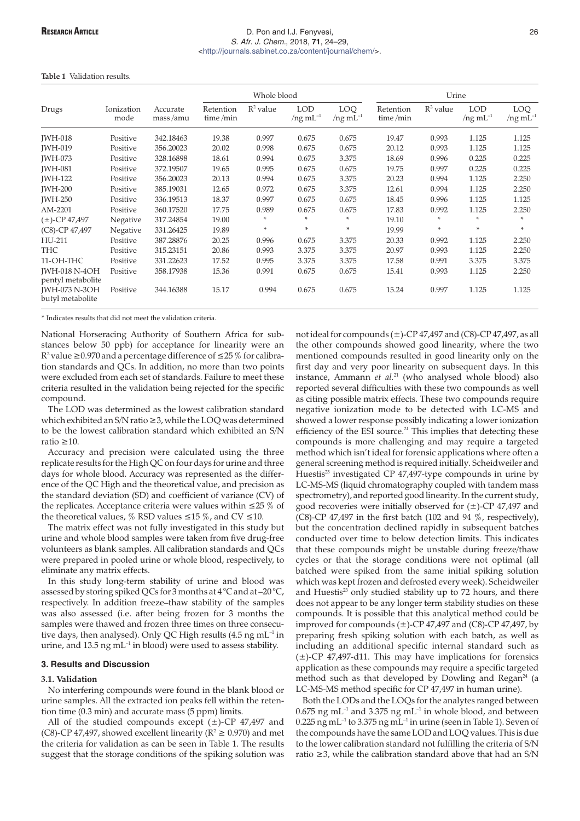# **RESEARCH ARTICLE** 26 S. Afr. J. Chem., 2018, **71**, 24–29, [<http://journals.sabinet.co.za/content/journal/chem/](http://journals.sabinet.co.za/content/journal/chem/)>.

## **Table 1** Validation results.

|                                           | Ionization<br>mode | Accurate<br>mass/amu | Whole blood           |             |                                 |                           | Urine                 |             |                                 |                          |
|-------------------------------------------|--------------------|----------------------|-----------------------|-------------|---------------------------------|---------------------------|-----------------------|-------------|---------------------------------|--------------------------|
| Drugs                                     |                    |                      | Retention<br>time/min | $R^2$ value | <b>LOD</b><br>/ $ng \, mL^{-1}$ | LOQ.<br>$/$ ng m $L^{-1}$ | Retention<br>time/min | $R^2$ value | <b>LOD</b><br>$/$ ng m $L^{-1}$ | LOQ.<br>$/ng \, mL^{-1}$ |
| <b>IWH-018</b>                            | Positive           | 342.18463            | 19.38                 | 0.997       | 0.675                           | 0.675                     | 19.47                 | 0.993       | 1.125                           | 1.125                    |
| <b>IWH-019</b>                            | Positive           | 356.20023            | 20.02                 | 0.998       | 0.675                           | 0.675                     | 20.12                 | 0.993       | 1.125                           | 1.125                    |
| <b>IWH-073</b>                            | Positive           | 328.16898            | 18.61                 | 0.994       | 0.675                           | 3.375                     | 18.69                 | 0.996       | 0.225                           | 0.225                    |
| <b>IWH-081</b>                            | Positive           | 372.19507            | 19.65                 | 0.995       | 0.675                           | 0.675                     | 19.75                 | 0.997       | 0.225                           | 0.225                    |
| <b>IWH-122</b>                            | Positive           | 356.20023            | 20.13                 | 0.994       | 0.675                           | 3.375                     | 20.23                 | 0.994       | 1.125                           | 2.250                    |
| <b>IWH-200</b>                            | Positive           | 385.19031            | 12.65                 | 0.972       | 0.675                           | 3.375                     | 12.61                 | 0.994       | 1.125                           | 2.250                    |
| <b>IWH-250</b>                            | Positive           | 336.19513            | 18.37                 | 0.997       | 0.675                           | 0.675                     | 18.45                 | 0.996       | 1.125                           | 1.125                    |
| AM-2201                                   | Positive           | 360.17520            | 17.75                 | 0.989       | 0.675                           | 0.675                     | 17.83                 | 0.992       | 1.125                           | 2.250                    |
| $(\pm)$ -CP 47,497                        | Negative           | 317.24854            | 19.00                 | *           | *                               | $\ast$                    | 19.10                 | *           | *                               | $\ast$                   |
| (C8)-CP 47,497                            | Negative           | 331.26425            | 19.89                 | *           | *                               | $\ast$                    | 19.99                 | *           | *                               | $*$                      |
| HU-211                                    | Positive           | 387.28876            | 20.25                 | 0.996       | 0.675                           | 3.375                     | 20.33                 | 0.992       | 1.125                           | 2.250                    |
| <b>THC</b>                                | Positive           | 315.23151            | 20.86                 | 0.993       | 3.375                           | 3.375                     | 20.97                 | 0.993       | 1.125                           | 2.250                    |
| 11-OH-THC                                 | Positive           | 331.22623            | 17.52                 | 0.995       | 3.375                           | 3.375                     | 17.58                 | 0.991       | 3.375                           | 3.375                    |
| <b>IWH-018 N-4OH</b><br>pentyl metabolite | Positive           | 358.17938            | 15.36                 | 0.991       | 0.675                           | 0.675                     | 15.41                 | 0.993       | 1.125                           | 2.250                    |
| <b>IWH-073 N-3OH</b><br>butyl metabolite  | Positive           | 344.16388            | 15.17                 | 0.994       | 0.675                           | 0.675                     | 15.24                 | 0.997       | 1.125                           | 1.125                    |

\* Indicates results that did not meet the validation criteria.

National Horseracing Authority of Southern Africa for substances below 50 ppb) for acceptance for linearity were an  $R^2$  value  $\geq$  0.970 and a percentage difference of  $\leq$  25 % for calibration standards and QCs. In addition, no more than two points were excluded from each set of standards. Failure to meet these criteria resulted in the validation being rejected for the specific compound.

The LOD was determined as the lowest calibration standard which exhibited an S/N ratio  $\geq$ 3, while the LOQ was determined to be the lowest calibration standard which exhibited an S/N ratio  $>10$ 

Accuracy and precision were calculated using the three replicate results for the High QC on four days for urine and three days for whole blood. Accuracy was represented as the difference of the QC High and the theoretical value, and precision as the standard deviation (SD) and coefficient of variance (CV) of the replicates. Acceptance criteria were values within  $\leq$ 25 % of the theoretical values, % RSD values  $\leq$  15 %, and CV  $\leq$  10.

The matrix effect was not fully investigated in this study but urine and whole blood samples were taken from five drug-free volunteers as blank samples. All calibration standards and QCs were prepared in pooled urine or whole blood, respectively, to eliminate any matrix effects.

In this study long-term stability of urine and blood was assessed by storing spiked QCs for 3 months at 4 °C and at –20 °C, respectively. In addition freeze–thaw stability of the samples was also assessed (i.e. after being frozen for 3 months the samples were thawed and frozen three times on three consecutive days, then analysed). Only QC High results (4.5 ng mL<sup>-1</sup> in urine, and 13.5 ng  $mL^{-1}$  in blood) were used to assess stability.

#### **3. Results and Discussion**

## **3.1. Validation**

No interfering compounds were found in the blank blood or urine samples. All the extracted ion peaks fell within the retention time (0.3 min) and accurate mass (5 ppm) limits.

All of the studied compounds except  $(\pm)$ -CP 47,497 and (C8)-CP 47,497, showed excellent linearity ( $\mathbb{R}^2 \ge 0.970$ ) and met the criteria for validation as can be seen in Table 1. The results suggest that the storage conditions of the spiking solution was

not ideal for compounds  $(\pm)$ -CP 47,497 and (C8)-CP 47,497, as all the other compounds showed good linearity, where the two mentioned compounds resulted in good linearity only on the first day and very poor linearity on subsequent days. In this instance, Ammann *et al.*<sup>21</sup> (who analysed whole blood) also reported several difficulties with these two compounds as well as citing possible matrix effects. These two compounds require negative ionization mode to be detected with LC-MS and showed a lower response possibly indicating a lower ionization efficiency of the ESI source.<sup>21</sup> This implies that detecting these compounds is more challenging and may require a targeted method which isn't ideal for forensic applications where often a general screening method is required initially. Scheidweiler and Huestis<sup>23</sup> investigated CP 47,497-type compounds in urine by LC-MS-MS (liquid chromatography coupled with tandem mass spectrometry), and reported good linearity. In the current study, good recoveries were initially observed for  $(\pm)$ -CP 47,497 and (C8)-CP 47,497 in the first batch (102 and 94 %, respectively), but the concentration declined rapidly in subsequent batches conducted over time to below detection limits. This indicates that these compounds might be unstable during freeze/thaw cycles or that the storage conditions were not optimal (all batched were spiked from the same initial spiking solution which was kept frozen and defrosted every week). Scheidweiler and Huestis<sup>23</sup> only studied stability up to 72 hours, and there does not appear to be any longer term stability studies on these compounds. It is possible that this analytical method could be improved for compounds  $(\pm)$ -CP 47,497 and (C8)-CP 47,497, by preparing fresh spiking solution with each batch, as well as including an additional specific internal standard such as  $(\pm)$ -CP 47,497-d11. This may have implications for forensics application as these compounds may require a specific targeted method such as that developed by Dowling and Regan<sup>24</sup> (a LC-MS-MS method specific for CP 47,497 in human urine).

Both the LODs and the LOQs for the analytes ranged between  $0.675$  ng mL<sup>-1</sup> and 3.375 ng mL<sup>-1</sup> in whole blood, and between  $0.225$  ng mL<sup>-1</sup> to 3.375 ng mL<sup>-1</sup> in urine (seen in Table 1). Seven of the compounds have the same LOD and LOQ values. This is due to the lower calibration standard not fulfilling the criteria of S/N ratio  $\geq$ 3, while the calibration standard above that had an S/N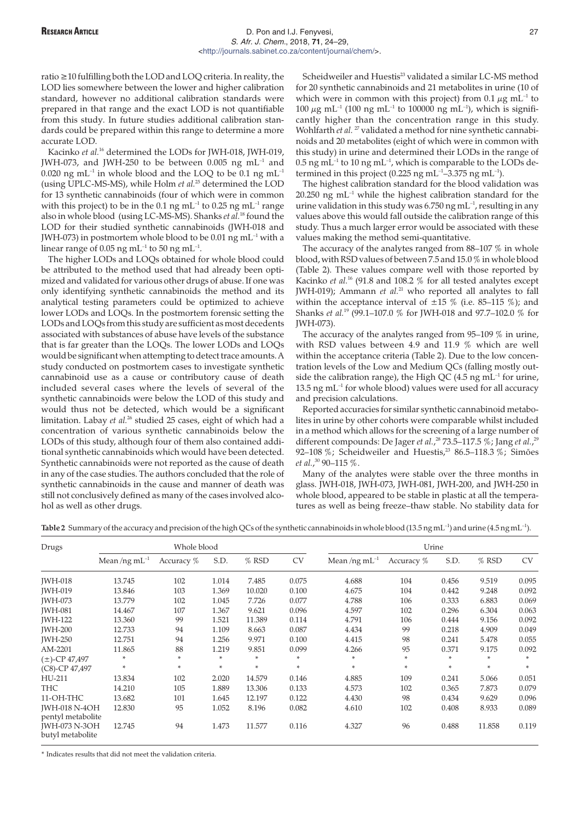# **RESEARCH ARTICLE** 27 S. Afr. J. Chem., 2018, **71**, 24–29, [<http://journals.sabinet.co.za/content/journal/chem/](http://journals.sabinet.co.za/content/journal/chem/)>.

ratio  $\geq$  10 fulfilling both the LOD and LOQ criteria. In reality, the LOD lies somewhere between the lower and higher calibration standard, however no additional calibration standards were prepared in that range and the exact LOD is not quantifiable from this study. In future studies additional calibration standards could be prepared within this range to determine a more accurate LOD.

Kacinko *et al.*<sup>16</sup> determined the LODs for JWH-018, JWH-019, JWH-073, and JWH-250 to be between 0.005 ng  $mL^{-1}$  and 0.020 ng mL<sup>-1</sup> in whole blood and the LOQ to be 0.1 ng mL<sup>-1</sup> (using UPLC-MS-MS), while Holm *et al.*<sup>25</sup> determined the LOD for 13 synthetic cannabinoids (four of which were in common with this project) to be in the 0.1 ng  $mL^{-1}$  to 0.25 ng  $mL^{-1}$  range also in whole blood (using LC-MS-MS). Shanks *et al.*<sup>18</sup> found the LOD for their studied synthetic cannabinoids (JWH-018 and JWH-073) in postmortem whole blood to be 0.01 ng  $mL^{-1}$  with a linear range of 0.05 ng mL<sup>-1</sup> to 50 ng mL<sup>-1</sup>.

The higher LODs and LOQs obtained for whole blood could be attributed to the method used that had already been optimized and validated for various other drugs of abuse. If one was only identifying synthetic cannabinoids the method and its analytical testing parameters could be optimized to achieve lower LODs and LOQs. In the postmortem forensic setting the LODs and LOQs from this study are sufficient as most decedents associated with substances of abuse have levels of the substance that is far greater than the LOQs. The lower LODs and LOQs would be significant when attempting to detect trace amounts. A study conducted on postmortem cases to investigate synthetic cannabinoid use as a cause or contributory cause of death included several cases where the levels of several of the synthetic cannabinoids were below the LOD of this study and would thus not be detected, which would be a significant limitation. Labay *et al.*<sup>26</sup> studied 25 cases, eight of which had a concentration of various synthetic cannabinoids below the LODs of this study, although four of them also contained additional synthetic cannabinoids which would have been detected. Synthetic cannabinoids were not reported as the cause of death in any of the case studies. The authors concluded that the role of synthetic cannabinoids in the cause and manner of death was still not conclusively defined as many of the cases involved alcohol as well as other drugs.

Scheidweiler and Huestis<sup>23</sup> validated a similar LC-MS method for 20 synthetic cannabinoids and 21 metabolites in urine (10 of which were in common with this project) from 0.1  $\mu$ g mL<sup>-1</sup> to 100  $\mu$ g mL<sup>-1</sup> (100 ng mL<sup>-1</sup> to 100000 ng mL<sup>-1</sup>), which is significantly higher than the concentration range in this study. Wohlfarth *et al.* <sup>27</sup> validated a method for nine synthetic cannabinoids and 20 metabolites (eight of which were in common with this study) in urine and determined their LODs in the range of 0.5 ng mL<sup>-1</sup> to 10 ng mL<sup>-1</sup>, which is comparable to the LODs determined in this project (0.225 ng mL<sup>-1</sup>-3.375 ng mL<sup>-1</sup>).

The highest calibration standard for the blood validation was  $20.250$  ng mL<sup>-1</sup> while the highest calibration standard for the urine validation in this study was 6.750 ng mL $^{-1}$ , resulting in any values above this would fall outside the calibration range of this study. Thus a much larger error would be associated with these values making the method semi-quantitative.

The accuracy of the analytes ranged from 88–107 % in whole blood, with RSD values of between 7.5 and 15.0 % in whole blood (Table 2). These values compare well with those reported by Kacinko *et al.*<sup>16</sup> (91.8 and 108.2 % for all tested analytes except JWH-019); Ammann *et al.*<sup>21</sup> who reported all analytes to fall within the acceptance interval of  $\pm 15$  % (i.e. 85-115 %); and Shanks *et al.*<sup>19</sup> (99.1–107.0 % for JWH-018 and 97.7–102.0 % for JWH-073).

The accuracy of the analytes ranged from 95–109 % in urine, with RSD values between 4.9 and 11.9 % which are well within the acceptance criteria (Table 2). Due to the low concentration levels of the Low and Medium QCs (falling mostly outside the calibration range), the High QC (4.5 ng  $mL^{-1}$  for urine,  $13.5$  ng mL<sup>-1</sup> for whole blood) values were used for all accuracy and precision calculations.

Reported accuracies for similar synthetic cannabinoid metabolites in urine by other cohorts were comparable whilst included in a method which allows for the screening of a large number of different compounds: De Jager *et al.*, <sup>28</sup> 73.5–117.5 %; Jang *et al.*, 29 92-108 %; Scheidweiler and Huestis,<sup>23</sup> 86.5-118.3 %; Simões *et al.*, <sup>30</sup> 90–115 %.

Many of the analytes were stable over the three months in glass. JWH-018, JWH-073, JWH-081, JWH-200, and JWH-250 in whole blood, appeared to be stable in plastic at all the temperatures as well as being freeze–thaw stable. No stability data for

Table 2 Summary of the accuracy and precision of the high QCs of the synthetic cannabinoids in whole blood (13.5 ng mL<sup>-1</sup>) and urine (4.5 ng mL<sup>-1</sup>).

| Drugs                                     | Whole blood       |              |       |         |           | Urine              |            |       |        |           |
|-------------------------------------------|-------------------|--------------|-------|---------|-----------|--------------------|------------|-------|--------|-----------|
|                                           | Mean/ng $mL^{-1}$ | Accuracy $%$ | S.D.  | $%$ RSD | <b>CV</b> | Mean/ng m $L^{-1}$ | Accuracy % | S.D.  | % RSD  | <b>CV</b> |
| <b>JWH-018</b>                            | 13.745            | 102          | 1.014 | 7.485   | 0.075     | 4.688              | 104        | 0.456 | 9.519  | 0.095     |
| <b>IWH-019</b>                            | 13.846            | 103          | 1.369 | 10.020  | 0.100     | 4.675              | 104        | 0.442 | 9.248  | 0.092     |
| <b>IWH-073</b>                            | 13.779            | 102          | 1.045 | 7.726   | 0.077     | 4.788              | 106        | 0.333 | 6.883  | 0.069     |
| <b>IWH-081</b>                            | 14.467            | 107          | 1.367 | 9.621   | 0.096     | 4.597              | 102        | 0.296 | 6.304  | 0.063     |
| <b>IWH-122</b>                            | 13.360            | 99           | 1.521 | 11.389  | 0.114     | 4.791              | 106        | 0.444 | 9.156  | 0.092     |
| <b>IWH-200</b>                            | 12.733            | 94           | 1.109 | 8.663   | 0.087     | 4.434              | 99         | 0.218 | 4.909  | 0.049     |
| <b>IWH-250</b>                            | 12.751            | 94           | 1.256 | 9.971   | 0.100     | 4.415              | 98         | 0.241 | 5.478  | 0.055     |
| AM-2201                                   | 11.865            | 88           | 1.219 | 9.851   | 0.099     | 4.266              | 95         | 0.371 | 9.175  | 0.092     |
| $(\pm)$ -CP 47,497                        | ∗                 | *            | *     | *       | $\ast$    | *                  | $*$        | *     | *      | $\ast$    |
| (C8)-CP 47,497                            | $\ast$            | $\ast$       | *     | $\ast$  | $\ast$    | $\ast$             | $*$        | ÷     | $\ast$ | $\ast$    |
| HU-211                                    | 13.834            | 102          | 2.020 | 14.579  | 0.146     | 4.885              | 109        | 0.241 | 5.066  | 0.051     |
| THC                                       | 14.210            | 105          | 1.889 | 13.306  | 0.133     | 4.573              | 102        | 0.365 | 7.873  | 0.079     |
| 11-OH-THC                                 | 13.682            | 101          | 1.645 | 12.197  | 0.122     | 4.430              | 98         | 0.434 | 9.629  | 0.096     |
| <b>IWH-018 N-4OH</b><br>pentyl metabolite | 12.830            | 95           | 1.052 | 8.196   | 0.082     | 4.610              | 102        | 0.408 | 8.933  | 0.089     |
| <b>IWH-073 N-3OH</b><br>butyl metabolite  | 12.745            | 94           | 1.473 | 11.577  | 0.116     | 4.327              | 96         | 0.488 | 11.858 | 0.119     |

\* Indicates results that did not meet the validation criteria.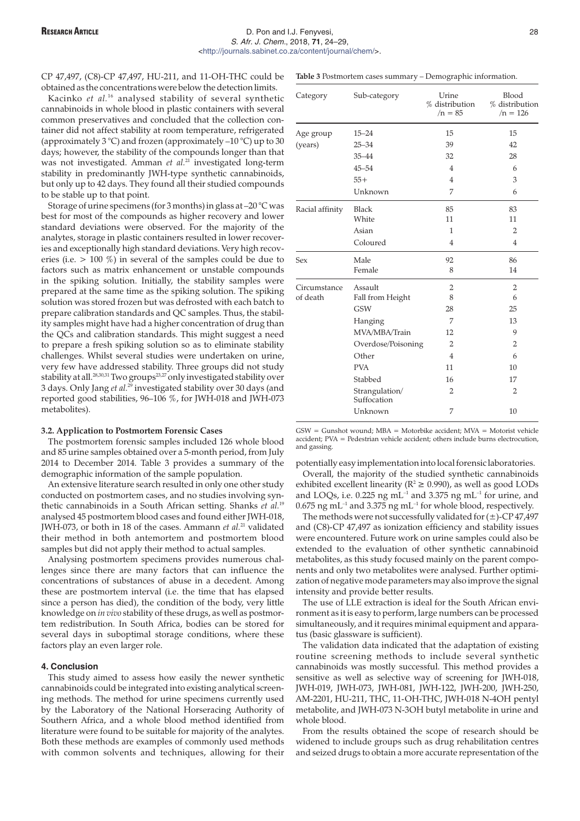CP 47,497, (C8)-CP 47,497, HU-211, and 11-OH-THC could be obtained as the concentrations were below the detection limits.

Kacinko *et al.*<sup>16</sup> analysed stability of several synthetic cannabinoids in whole blood in plastic containers with several common preservatives and concluded that the collection container did not affect stability at room temperature, refrigerated (approximately 3 °C) and frozen (approximately  $-10$  °C) up to 30 days; however, the stability of the compounds longer than that was not investigated. Amman *et al.*<sup>21</sup> investigated long-term stability in predominantly JWH-type synthetic cannabinoids, but only up to 42 days. They found all their studied compounds to be stable up to that point.

Storage of urine specimens (for 3 months) in glass at –20 °C was best for most of the compounds as higher recovery and lower standard deviations were observed. For the majority of the analytes, storage in plastic containers resulted in lower recoveries and exceptionally high standard deviations. Very high recoveries (i.e.  $> 100 \%$ ) in several of the samples could be due to factors such as matrix enhancement or unstable compounds in the spiking solution. Initially, the stability samples were prepared at the same time as the spiking solution. The spiking solution was stored frozen but was defrosted with each batch to prepare calibration standards and QC samples. Thus, the stability samples might have had a higher concentration of drug than the QCs and calibration standards. This might suggest a need to prepare a fresh spiking solution so as to eliminate stability challenges. Whilst several studies were undertaken on urine, very few have addressed stability. Three groups did not study stability at all.<sup>28,30,31</sup> Two groups<sup>23,27</sup> only investigated stability over 3 days. Only Jang *et al.*<sup>29</sup> investigated stability over 30 days (and reported good stabilities, 96–106 %, for JWH-018 and JWH-073 metabolites).

## **3.2. Application to Postmortem Forensic Cases**

The postmortem forensic samples included 126 whole blood and 85 urine samples obtained over a 5-month period, from July 2014 to December 2014. Table 3 provides a summary of the demographic information of the sample population.

An extensive literature search resulted in only one other study conducted on postmortem cases, and no studies involving synthetic cannabinoids in a South African setting. Shanks *et al.*<sup>19</sup> analysed 45 postmortem blood cases and found either JWH-018, JWH-073, or both in 18 of the cases. Ammann *et al.*<sup>21</sup> validated their method in both antemortem and postmortem blood samples but did not apply their method to actual samples.

Analysing postmortem specimens provides numerous challenges since there are many factors that can influence the concentrations of substances of abuse in a decedent. Among these are postmortem interval (i.e. the time that has elapsed since a person has died), the condition of the body, very little knowledge on *in vivo* stability of these drugs, as well as postmortem redistribution. In South Africa, bodies can be stored for several days in suboptimal storage conditions, where these factors play an even larger role.

# **4. Conclusion**

This study aimed to assess how easily the newer synthetic cannabinoids could be integrated into existing analytical screening methods. The method for urine specimens currently used by the Laboratory of the National Horseracing Authority of Southern Africa, and a whole blood method identified from literature were found to be suitable for majority of the analytes. Both these methods are examples of commonly used methods with common solvents and techniques, allowing for their

**Table 3** Postmortem cases summary – Demographic information.

| Category        | Sub-category                  | Urine<br>% distribution<br>$/n = 85$ | Blood<br>% distribution<br>$/n = 126$ |
|-----------------|-------------------------------|--------------------------------------|---------------------------------------|
| Age group       | $15 - 24$                     | 15                                   | 15                                    |
| (years)         | $25 - 34$                     | 39                                   | 42                                    |
|                 | 35-44                         | 32                                   | 28                                    |
|                 | $45 - 54$                     | $\overline{4}$                       | 6                                     |
|                 | $55+$                         | $\overline{4}$                       | 3                                     |
|                 | Unknown                       | 7                                    | 6                                     |
| Racial affinity | <b>Black</b>                  | 85                                   | 83                                    |
|                 | White                         | 11                                   | 11                                    |
|                 | Asian                         | 1                                    | 2                                     |
|                 | Coloured                      | $\overline{4}$                       | $\overline{4}$                        |
| Sex             | Male                          | 92                                   | 86                                    |
|                 | Female                        | 8                                    | 14                                    |
| Circumstance    | Assault                       | 2                                    | 2                                     |
| of death        | Fall from Height              | 8                                    | 6                                     |
|                 | <b>GSW</b>                    | 28                                   | 25                                    |
|                 | Hanging                       | 7                                    | 13                                    |
|                 | MVA/MBA/Train                 | 12                                   | 9                                     |
|                 | Overdose/Poisoning            | $\overline{2}$                       | $\overline{2}$                        |
|                 | Other                         | $\overline{4}$                       | 6                                     |
|                 | <b>PVA</b>                    | 11                                   | 10                                    |
|                 | Stabbed                       | 16                                   | 17                                    |
|                 | Strangulation/<br>Suffocation | 2                                    | $\overline{2}$                        |
|                 | Unknown                       | 7                                    | 10                                    |

 $GSW = Gunshot$  wound;  $MBA = Motorbike$  accident;  $MVA = Motorist$  vehicle accident; PVA = Pedestrian vehicle accident; others include burns electrocution, and gassing.

potentially easy implementation into local forensic laboratories.

Overall, the majority of the studied synthetic cannabinoids exhibited excellent linearity ( $R^2 \ge 0.990$ ), as well as good LODs and LOQs, i.e. 0.225 ng  $mL^{-1}$  and 3.375 ng  $mL^{-1}$  for urine, and  $0.675$  ng mL<sup>-1</sup> and 3.375 ng mL<sup>-1</sup> for whole blood, respectively.

The methods were not successfully validated for  $(\pm)$ -CP 47,497 and (C8)-CP 47,497 as ionization efficiency and stability issues were encountered. Future work on urine samples could also be extended to the evaluation of other synthetic cannabinoid metabolites, as this study focused mainly on the parent components and only two metabolites were analysed. Further optimization of negative mode parameters may also improve the signal intensity and provide better results.

The use of LLE extraction is ideal for the South African environment as it is easy to perform, large numbers can be processed simultaneously, and it requires minimal equipment and apparatus (basic glassware is sufficient).

The validation data indicated that the adaptation of existing routine screening methods to include several synthetic cannabinoids was mostly successful. This method provides a sensitive as well as selective way of screening for JWH-018, JWH-019, JWH-073, JWH-081, JWH-122, JWH-200, JWH-250, AM-2201, HU-211, THC, 11-OH-THC, JWH-018 N-4OH pentyl metabolite, and JWH-073 N-3OH butyl metabolite in urine and whole blood.

From the results obtained the scope of research should be widened to include groups such as drug rehabilitation centres and seized drugs to obtain a more accurate representation of the